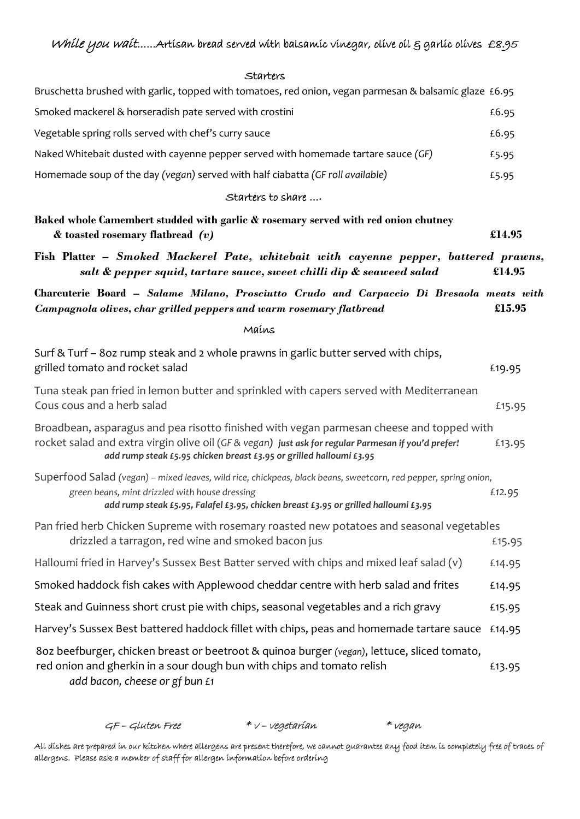## $\epsilon$ tarters

| ur ccrs) ت                                                                                                                                                                                                                                                             |        |
|------------------------------------------------------------------------------------------------------------------------------------------------------------------------------------------------------------------------------------------------------------------------|--------|
| Bruschetta brushed with garlic, topped with tomatoes, red onion, vegan parmesan & balsamic glaze £6.95                                                                                                                                                                 |        |
| Smoked mackerel & horseradish pate served with crostini                                                                                                                                                                                                                | £6.95  |
| Vegetable spring rolls served with chef's curry sauce                                                                                                                                                                                                                  | £6.95  |
| Naked Whitebait dusted with cayenne pepper served with homemade tartare sauce (GF)                                                                                                                                                                                     | £5.95  |
| Homemade soup of the day (vegan) served with half ciabatta (GF roll available)                                                                                                                                                                                         | £5.95  |
| Starters to share                                                                                                                                                                                                                                                      |        |
| Baked whole Camembert studded with garlic & rosemary served with red onion chutney<br>& toasted rosemary flatbread (v)                                                                                                                                                 | £14.95 |
| Fish Platter – Smoked Mackerel Pate, whitebait with cayenne pepper, battered prawns,<br>salt & pepper squid, tartare sauce, sweet chilli dip & seaweed salad                                                                                                           | £14.95 |
| Charcuterie Board - Salame Milano, Prosciutto Crudo and Carpaccio Di Bresaola meats with<br>Campagnola olives, char grilled peppers and warm rosemary flatbread                                                                                                        | £15.95 |
| Mains                                                                                                                                                                                                                                                                  |        |
| Surf & Turf - 8oz rump steak and 2 whole prawns in garlic butter served with chips,<br>grilled tomato and rocket salad                                                                                                                                                 | £19.95 |
| Tuna steak pan fried in lemon butter and sprinkled with capers served with Mediterranean<br>Cous cous and a herb salad                                                                                                                                                 | £15.95 |
| Broadbean, asparagus and pea risotto finished with vegan parmesan cheese and topped with<br>rocket salad and extra virgin olive oil (GF & vegan) just ask for regular Parmesan if you'd prefer!<br>add rump steak £5.95 chicken breast £3.95 or grilled halloumi £3.95 | £13.95 |
| Superfood Salad (vegan) – mixed leaves, wild rice, chickpeas, black beans, sweetcorn, red pepper, spring onion,<br>green beans, mint drizzled with house dressing<br>add rump steak £5.95, Falafel £3.95, chicken breast £3.95 or grilled halloumi £3.95               | £12.95 |
| Pan fried herb Chicken Supreme with rosemary roasted new potatoes and seasonal vegetables<br>drizzled a tarragon, red wine and smoked bacon jus                                                                                                                        | £15.95 |
| Halloumi fried in Harvey's Sussex Best Batter served with chips and mixed leaf salad (v)                                                                                                                                                                               | £14.95 |
| Smoked haddock fish cakes with Applewood cheddar centre with herb salad and frites                                                                                                                                                                                     | £14.95 |
| Steak and Guinness short crust pie with chips, seasonal vegetables and a rich gravy                                                                                                                                                                                    | £15.95 |
| Harvey's Sussex Best battered haddock fillet with chips, peas and homemade tartare sauce                                                                                                                                                                               | £14.95 |
| 8oz beefburger, chicken breast or beetroot & quinoa burger (vegan), lettuce, sliced tomato,<br>red onion and gherkin in a sour dough bun with chips and tomato relish<br>add bacon, cheese or gf bun £1                                                                | £13.95 |

| GF - Gluten Free | * v – vegetarían | * vegan |
|------------------|------------------|---------|
|                  |                  |         |

All dishes are prepared in our kitchen where allergens are present therefore, we cannot guarantee any food item is completely free of traces of allergens. Please ask a member of staff for allergen information before ordering